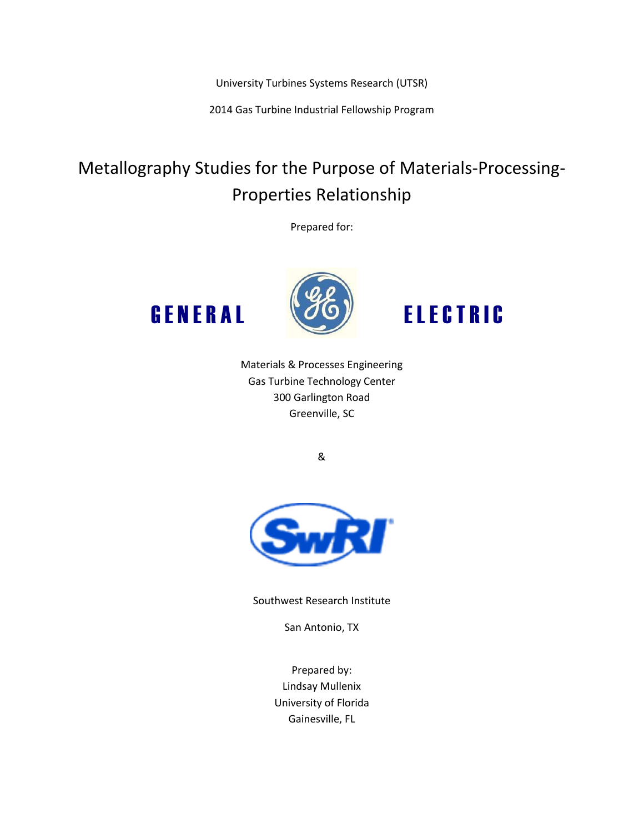University Turbines Systems Research (UTSR)

2014 Gas Turbine Industrial Fellowship Program

# Metallography Studies for the Purpose of Materials-Processing-Properties Relationship

Prepared for:





GENERAL (*J*O) ELECTRIC

Materials & Processes Engineering Gas Turbine Technology Center 300 Garlington Road Greenville, SC

&



Southwest Research Institute

San Antonio, TX

Prepared by: Lindsay Mullenix University of Florida Gainesville, FL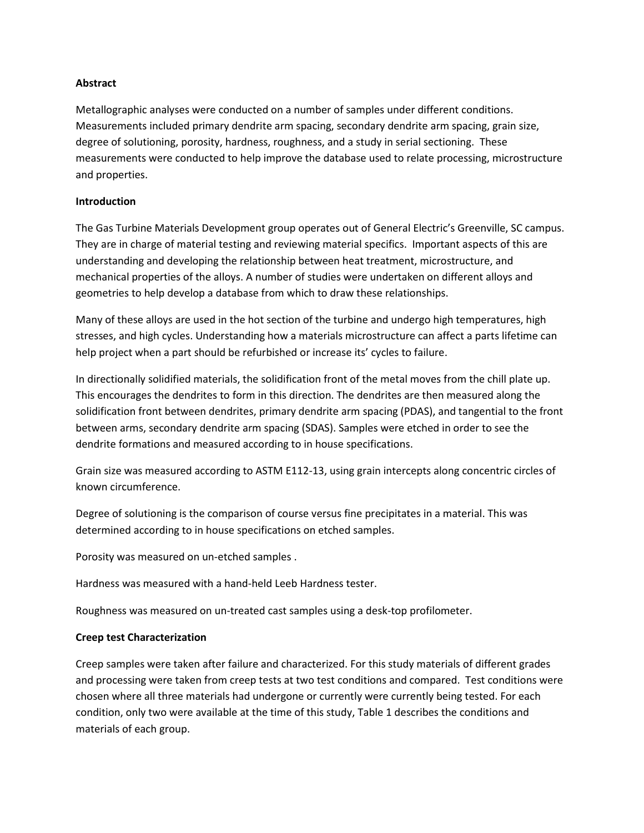## **Abstract**

Metallographic analyses were conducted on a number of samples under different conditions. Measurements included primary dendrite arm spacing, secondary dendrite arm spacing, grain size, degree of solutioning, porosity, hardness, roughness, and a study in serial sectioning. These measurements were conducted to help improve the database used to relate processing, microstructure and properties.

### **Introduction**

The Gas Turbine Materials Development group operates out of General Electric's Greenville, SC campus. They are in charge of material testing and reviewing material specifics. Important aspects of this are understanding and developing the relationship between heat treatment, microstructure, and mechanical properties of the alloys. A number of studies were undertaken on different alloys and geometries to help develop a database from which to draw these relationships.

Many of these alloys are used in the hot section of the turbine and undergo high temperatures, high stresses, and high cycles. Understanding how a materials microstructure can affect a parts lifetime can help project when a part should be refurbished or increase its' cycles to failure.

In directionally solidified materials, the solidification front of the metal moves from the chill plate up. This encourages the dendrites to form in this direction. The dendrites are then measured along the solidification front between dendrites, primary dendrite arm spacing (PDAS), and tangential to the front between arms, secondary dendrite arm spacing (SDAS). Samples were etched in order to see the dendrite formations and measured according to in house specifications.

Grain size was measured according to ASTM E112-13, using grain intercepts along concentric circles of known circumference.

Degree of solutioning is the comparison of course versus fine precipitates in a material. This was determined according to in house specifications on etched samples.

Porosity was measured on un-etched samples .

Hardness was measured with a hand-held Leeb Hardness tester.

Roughness was measured on un-treated cast samples using a desk-top profilometer.

#### **Creep test Characterization**

Creep samples were taken after failure and characterized. For this study materials of different grades and processing were taken from creep tests at two test conditions and compared. Test conditions were chosen where all three materials had undergone or currently were currently being tested. For each condition, only two were available at the time of this study, Table 1 describes the conditions and materials of each group.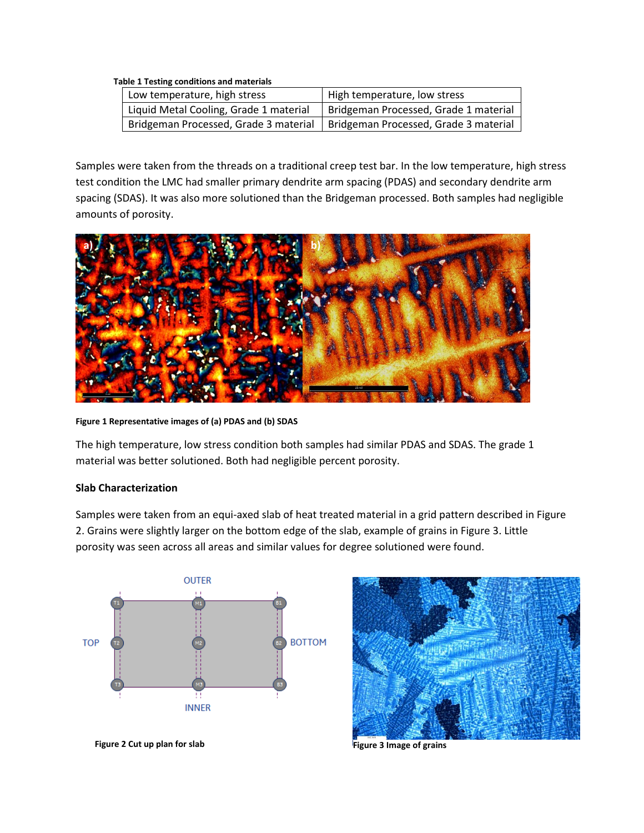#### **Table 1 Testing conditions and materials**

| Low temperature, high stress           | High temperature, low stress          |
|----------------------------------------|---------------------------------------|
| Liquid Metal Cooling, Grade 1 material | Bridgeman Processed, Grade 1 material |
| Bridgeman Processed, Grade 3 material  | Bridgeman Processed, Grade 3 material |

Samples were taken from the threads on a traditional creep test bar. In the low temperature, high stress test condition the LMC had smaller primary dendrite arm spacing (PDAS) and secondary dendrite arm spacing (SDAS). It was also more solutioned than the Bridgeman processed. Both samples had negligible amounts of porosity.



**Figure 1 Representative images of (a) PDAS and (b) SDAS**

The high temperature, low stress condition both samples had similar PDAS and SDAS. The grade 1 material was better solutioned. Both had negligible percent porosity.

### **Slab Characterization**

Samples were taken from an equi-axed slab of heat treated material in a grid pattern described in Figure 2. Grains were slightly larger on the bottom edge of the slab, example of grains in Figure 3. Little porosity was seen across all areas and similar values for degree solutioned were found.



**Figure 2 Cut up plan for slab Figure 3 Image of grains**

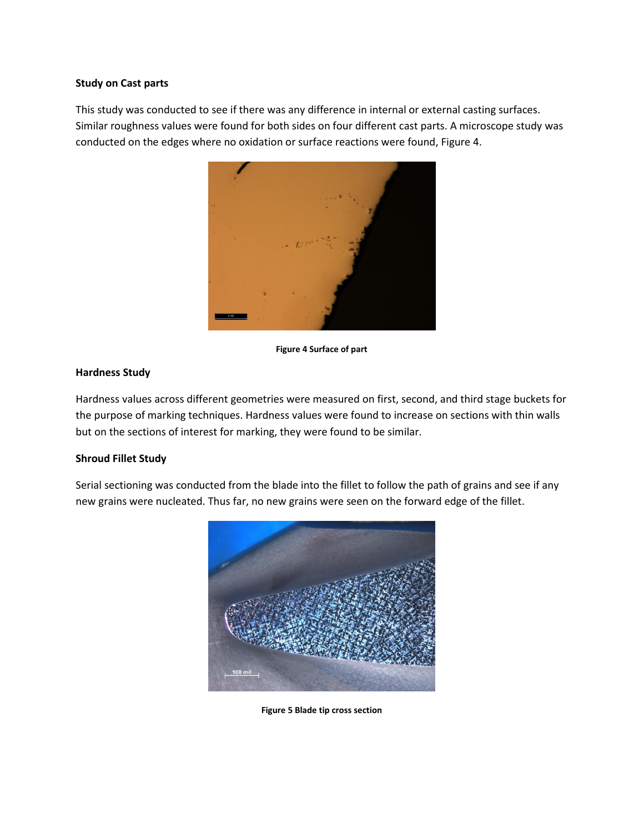#### **Study on Cast parts**

This study was conducted to see if there was any difference in internal or external casting surfaces. Similar roughness values were found for both sides on four different cast parts. A microscope study was conducted on the edges where no oxidation or surface reactions were found, Figure 4.



**Figure 4 Surface of part**

## **Hardness Study**

Hardness values across different geometries were measured on first, second, and third stage buckets for the purpose of marking techniques. Hardness values were found to increase on sections with thin walls but on the sections of interest for marking, they were found to be similar.

## **Shroud Fillet Study**

Serial sectioning was conducted from the blade into the fillet to follow the path of grains and see if any new grains were nucleated. Thus far, no new grains were seen on the forward edge of the fillet.



**Figure 5 Blade tip cross section**